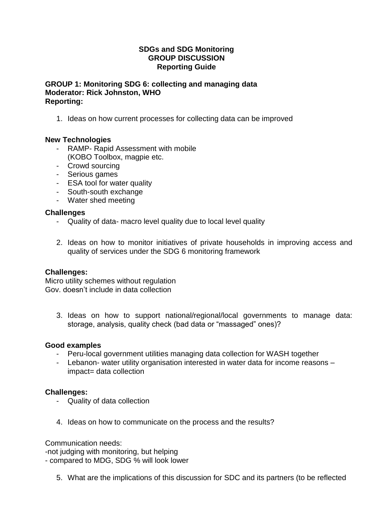## **SDGs and SDG Monitoring GROUP DISCUSSION Reporting Guide**

## **GROUP 1: Monitoring SDG 6: collecting and managing data Moderator: Rick Johnston, WHO Reporting:**

1. Ideas on how current processes for collecting data can be improved

# **New Technologies**

- RAMP- Rapid Assessment with mobile (KOBO Toolbox, magpie etc.
- 
- Crowd sourcing
- Serious games
- ESA tool for water quality
- South-south exchange
- Water shed meeting

## **Challenges**

- Quality of data- macro level quality due to local level quality
- 2. Ideas on how to monitor initiatives of private households in improving access and quality of services under the SDG 6 monitoring framework

## **Challenges:**

Micro utility schemes without regulation Gov. doesn't include in data collection

3. Ideas on how to support national/regional/local governments to manage data: storage, analysis, quality check (bad data or "massaged" ones)?

## **Good examples**

- Peru-local government utilities managing data collection for WASH together
- Lebanon- water utility organisation interested in water data for income reasons impact= data collection

# **Challenges:**

- Quality of data collection
- 4. Ideas on how to communicate on the process and the results?

Communication needs: -not judging with monitoring, but helping - compared to MDG, SDG % will look lower

5. What are the implications of this discussion for SDC and its partners (to be reflected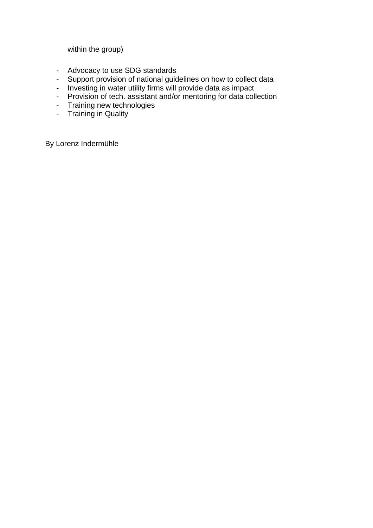within the group)

- Advocacy to use SDG standards
- Support provision of national guidelines on how to collect data
- Investing in water utility firms will provide data as impact
- Provision of tech. assistant and/or mentoring for data collection
- Training new technologies
- Training in Quality

By Lorenz Indermühle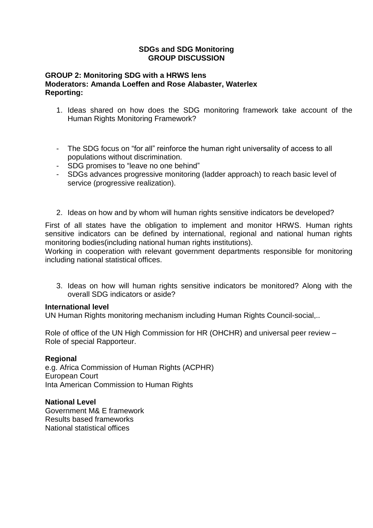### **SDGs and SDG Monitoring GROUP DISCUSSION**

# **GROUP 2: Monitoring SDG with a HRWS lens Moderators: Amanda Loeffen and Rose Alabaster, Waterlex Reporting:**

- 1. Ideas shared on how does the SDG monitoring framework take account of the Human Rights Monitoring Framework?
- The SDG focus on "for all" reinforce the human right universality of access to all populations without discrimination.
- SDG promises to "leave no one behind"
- SDGs advances progressive monitoring (ladder approach) to reach basic level of service (progressive realization).
- 2. Ideas on how and by whom will human rights sensitive indicators be developed?

First of all states have the obligation to implement and monitor HRWS. Human rights sensitive indicators can be defined by international, regional and national human rights monitoring bodies(including national human rights institutions).

Working in cooperation with relevant government departments responsible for monitoring including national statistical offices.

3. Ideas on how will human rights sensitive indicators be monitored? Along with the overall SDG indicators or aside?

## **International level**

UN Human Rights monitoring mechanism including Human Rights Council-social,..

Role of office of the UN High Commission for HR (OHCHR) and universal peer review – Role of special Rapporteur.

## **Regional**

e.g. Africa Commission of Human Rights (ACPHR) European Court Inta American Commission to Human Rights

**National Level** Government M& E framework Results based frameworks National statistical offices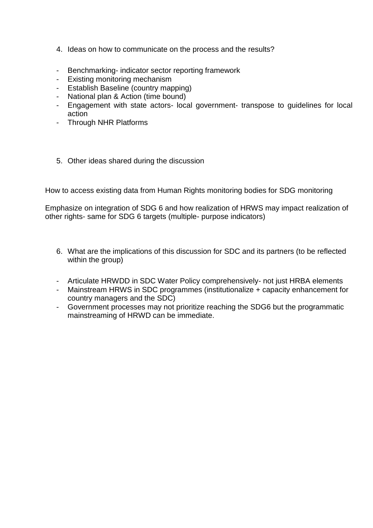- 4. Ideas on how to communicate on the process and the results?
- Benchmarking- indicator sector reporting framework
- Existing monitoring mechanism
- Establish Baseline (country mapping)
- National plan & Action (time bound)
- Engagement with state actors- local government- transpose to guidelines for local action
- Through NHR Platforms
- 5. Other ideas shared during the discussion

How to access existing data from Human Rights monitoring bodies for SDG monitoring

Emphasize on integration of SDG 6 and how realization of HRWS may impact realization of other rights- same for SDG 6 targets (multiple- purpose indicators)

- 6. What are the implications of this discussion for SDC and its partners (to be reflected within the group)
- Articulate HRWDD in SDC Water Policy comprehensively- not just HRBA elements
- Mainstream HRWS in SDC programmes (institutionalize + capacity enhancement for country managers and the SDC)
- Government processes may not prioritize reaching the SDG6 but the programmatic mainstreaming of HRWD can be immediate.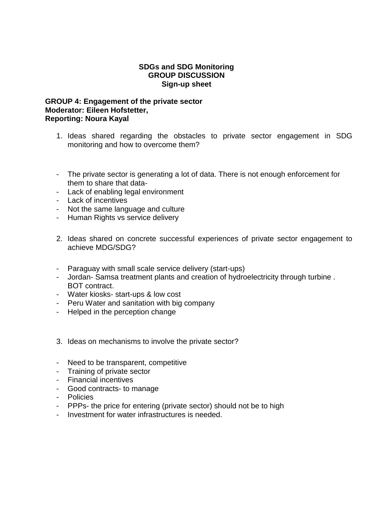#### **SDGs and SDG Monitoring GROUP DISCUSSION Sign-up sheet**

### **GROUP 4: Engagement of the private sector Moderator: Eileen Hofstetter, Reporting: Noura Kayal**

- 1. Ideas shared regarding the obstacles to private sector engagement in SDG monitoring and how to overcome them?
- The private sector is generating a lot of data. There is not enough enforcement for them to share that data-
- Lack of enabling legal environment
- Lack of incentives
- Not the same language and culture
- Human Rights vs service delivery
- 2. Ideas shared on concrete successful experiences of private sector engagement to achieve MDG/SDG?
- Paraguay with small scale service delivery (start-ups)
- Jordan- Samsa treatment plants and creation of hydroelectricity through turbine . BOT contract.
- Water kiosks- start-ups & low cost
- Peru Water and sanitation with big company
- Helped in the perception change
- 3. Ideas on mechanisms to involve the private sector?
- Need to be transparent, competitive
- Training of private sector
- Financial incentives
- Good contracts- to manage
- Policies
- PPPs- the price for entering (private sector) should not be to high
- Investment for water infrastructures is needed.